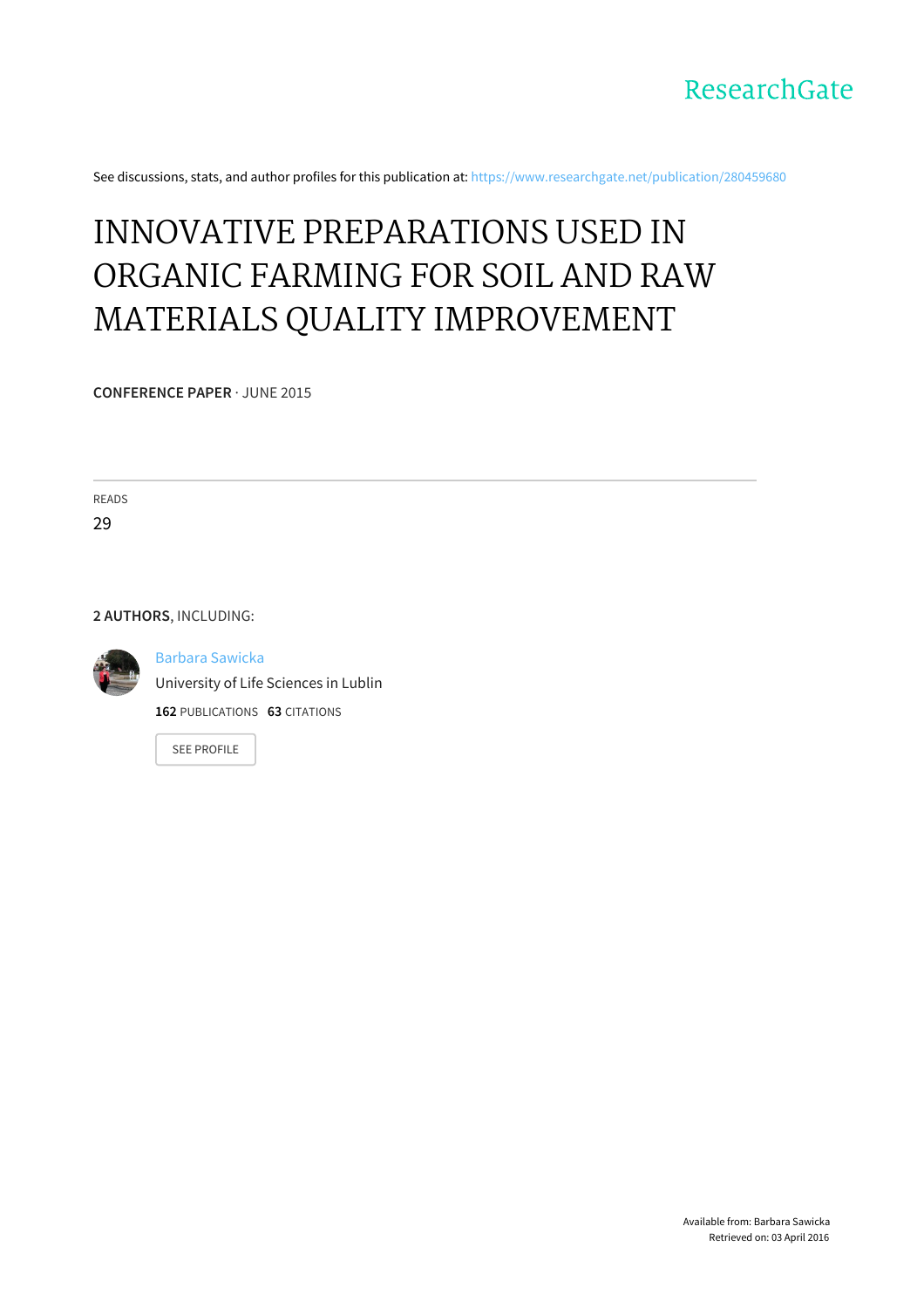

See discussions, stats, and author profiles for this publication at: [https://www.researchgate.net/publication/280459680](https://www.researchgate.net/publication/280459680_INNOVATIVE_PREPARATIONS_USED_IN_ORGANIC_FARMING_FOR_SOIL_AND_RAW_MATERIALS_QUALITY_IMPROVEMENT?enrichId=rgreq-d2b99154-21a6-4419-9b91-6bba9ef5f56a&enrichSource=Y292ZXJQYWdlOzI4MDQ1OTY4MDtBUzoyNTU3MDgyMjY2NTAxMTVAMTQzNzk3NzAwMDkxNQ%3D%3D&el=1_x_2)

## INNOVATIVE [PREPARATIONS](https://www.researchgate.net/publication/280459680_INNOVATIVE_PREPARATIONS_USED_IN_ORGANIC_FARMING_FOR_SOIL_AND_RAW_MATERIALS_QUALITY_IMPROVEMENT?enrichId=rgreq-d2b99154-21a6-4419-9b91-6bba9ef5f56a&enrichSource=Y292ZXJQYWdlOzI4MDQ1OTY4MDtBUzoyNTU3MDgyMjY2NTAxMTVAMTQzNzk3NzAwMDkxNQ%3D%3D&el=1_x_3) USED IN ORGANIC FARMING FOR SOIL AND RAW MATERIALS QUALITY IMPROVEMENT

**CONFERENCE PAPER** · JUNE 2015

READS

29

**2 AUTHORS**, INCLUDING:



Barbara [Sawicka](https://www.researchgate.net/profile/Barbara_Sawicka3?enrichId=rgreq-d2b99154-21a6-4419-9b91-6bba9ef5f56a&enrichSource=Y292ZXJQYWdlOzI4MDQ1OTY4MDtBUzoyNTU3MDgyMjY2NTAxMTVAMTQzNzk3NzAwMDkxNQ%3D%3D&el=1_x_5)

[University](https://www.researchgate.net/institution/University_of_Life_Sciences_in_Lublin?enrichId=rgreq-d2b99154-21a6-4419-9b91-6bba9ef5f56a&enrichSource=Y292ZXJQYWdlOzI4MDQ1OTY4MDtBUzoyNTU3MDgyMjY2NTAxMTVAMTQzNzk3NzAwMDkxNQ%3D%3D&el=1_x_6) of Life Sciences in Lublin

**162** PUBLICATIONS **63** CITATIONS

SEE [PROFILE](https://www.researchgate.net/profile/Barbara_Sawicka3?enrichId=rgreq-d2b99154-21a6-4419-9b91-6bba9ef5f56a&enrichSource=Y292ZXJQYWdlOzI4MDQ1OTY4MDtBUzoyNTU3MDgyMjY2NTAxMTVAMTQzNzk3NzAwMDkxNQ%3D%3D&el=1_x_7)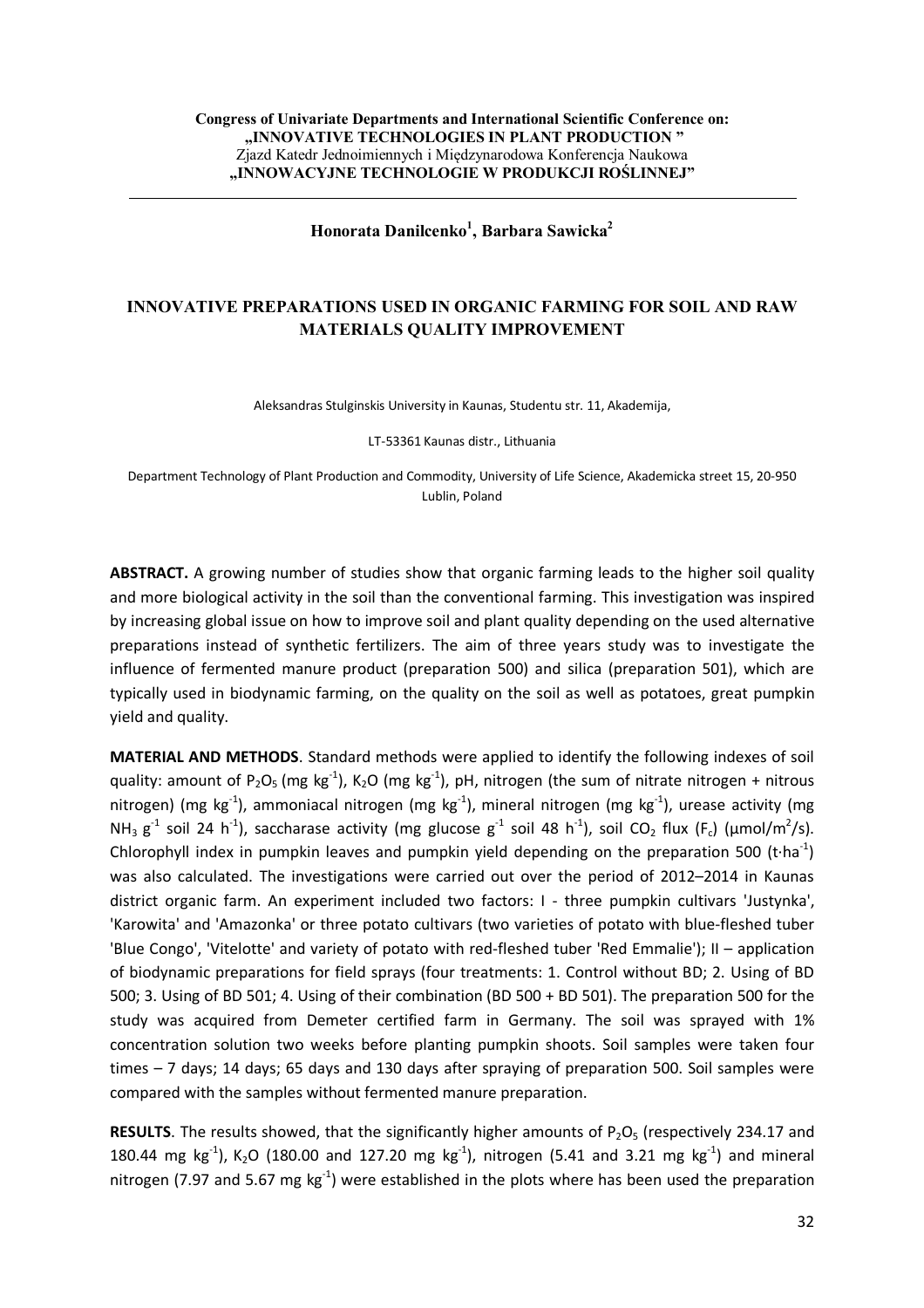## **Honorata Danilcenko<sup>1</sup> , Barbara Sawicka<sup>2</sup>**

## **INNOVATIVE PREPARATIONS USED IN ORGANIC FARMING FOR SOIL AND RAW MATERIALS QUALITY IMPROVEMENT**

Aleksandras Stulginskis University in Kaunas, Studentu str. 11, Akademija,

LT-53361 Kaunas distr., Lithuania

Department Technology of Plant Production and Commodity, University of Life Science, Akademicka street 15, 20-950 Lublin, Poland

**ABSTRACT.** A growing number of studies show that organic farming leads to the higher soil quality and more biological activity in the soil than the conventional farming. This investigation was inspired by increasing global issue on how to improve soil and plant quality depending on the used alternative preparations instead of synthetic fertilizers. The aim of three years study was to investigate the influence of fermented manure product (preparation 500) and silica (preparation 501), which are typically used in biodynamic farming, on the quality on the soil as well as potatoes, great pumpkin yield and quality.

**MATERIAL AND METHODS**. Standard methods were applied to identify the following indexes of soil quality: amount of P<sub>2</sub>O<sub>5</sub> (mg kg<sup>-1</sup>), K<sub>2</sub>O (mg kg<sup>-1</sup>), pH, nitrogen (the sum of nitrate nitrogen + nitrous nitrogen) (mg kg<sup>-1</sup>), ammoniacal nitrogen (mg kg<sup>-1</sup>), mineral nitrogen (mg kg<sup>-1</sup>), urease activity (mg NH<sub>3</sub> g<sup>-1</sup> soil 24 h<sup>-1</sup>), saccharase activity (mg glucose g<sup>-1</sup> soil 48 h<sup>-1</sup>), soil CO<sub>2</sub> flux (F<sub>c</sub>) (µmol/m<sup>2</sup>/s). Chlorophyll index in pumpkin leaves and pumpkin yield depending on the preparation 500 (t∙ha<sup>-1</sup>) was also calculated. The investigations were carried out over the period of 2012–2014 in Kaunas district organic farm. An experiment included two factors: I - three pumpkin cultivars 'Justynka', 'Karowita' and 'Amazonka' or three potato cultivars (two varieties of potato with blue-fleshed tuber 'Blue Congo', 'Vitelotte' and variety of potato with red-fleshed tuber 'Red Emmalie'); II – application of biodynamic preparations for field sprays (four treatments: 1. Control without BD; 2. Using of BD 500; 3. Using of BD 501; 4. Using of their combination (BD 500 + BD 501). The preparation 500 for the study was acquired from Demeter certified farm in Germany. The soil was sprayed with 1% concentration solution two weeks before planting pumpkin shoots. Soil samples were taken four times – 7 days; 14 days; 65 days and 130 days after spraying of preparation 500. Soil samples were compared with the samples without fermented manure preparation.

**RESULTS**. The results showed, that the significantly higher amounts of  $P_2O_5$  (respectively 234.17 and 180.44 mg kg<sup>-1</sup>), K<sub>2</sub>O (180.00 and 127.20 mg kg<sup>-1</sup>), nitrogen (5.41 and 3.21 mg kg<sup>-1</sup>) and mineral nitrogen (7.97 and 5.67 mg  $kg^{-1}$ ) were established in the plots where has been used the preparation